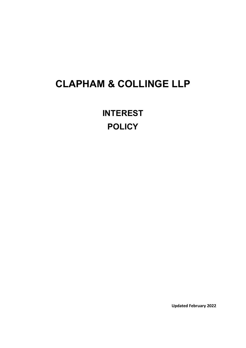## **CLAPHAM & COLLINGE LLP**

**INTEREST POLICY**

**Updated February 2022**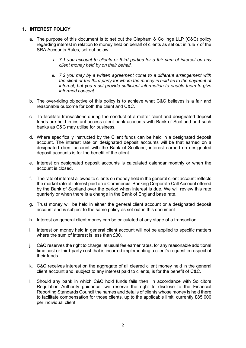## **1. INTEREST POLICY**

- a. The purpose of this document is to set out the Clapham & Collinge LLP (C&C) policy regarding interest in relation to money held on behalf of clients as set out in rule 7 of the SRA Accounts Rules, set out below:
	- *i. 7.1 you account to clients or third parties for a fair sum of interest on any client money held by on their behalf.*
	- *ii. 7.2 you may by a written agreement come to a different arrangement with the client or the third party for whom the money is held as to the payment of interest, but you must provide sufficient information to enable them to give informed consent.*
- b. The over-riding objective of this policy is to achieve what C&C believes is a fair and reasonable outcome for both the client and C&C.
- c. To facilitate transactions during the conduct of a matter client and designated deposit funds are held in instant access client bank accounts with Bank of Scotland and such banks as C&C may utilise for business.
- d. Where specifically instructed by the Client funds can be held in a designated deposit account. The interest rate on designated deposit accounts will be that earned on a designated client account with the Bank of Scotland, interest earned on designated deposit accounts is for the benefit of the client.
- e. Interest on designated deposit accounts is calculated calendar monthly or when the account is closed.
- f. The rate of interest allowed to clients on money held in the general client account reflects the market rate of interest paid on a Commercial Banking Corporate Call Account offered by the Bank of Scotland over the period when interest is due. We will review this rate quarterly or when there is a change in the Bank of England base rate.
- g. Trust money will be held in either the general client account or a designated deposit account and is subject to the same policy as set out in this document.
- h. Interest on general client money can be calculated at any stage of a transaction.
- i. Interest on money held in general client account will not be applied to specific matters where the sum of interest is less than £30.
- j. C&C reserves the right to charge, at usual fee earner rates, for any reasonable additional time cost or third-party cost that is incurred implementing a client's request in respect of their funds.
- k. C&C receives interest on the aggregate of all cleared client money held in the general client account and, subject to any interest paid to clients, is for the benefit of C&C.
- l. Should any bank in which C&C hold funds fails then, in accordance with Solicitors Regulation Authority guidance, we reserve the right to disclose to the Financial Reporting Standards Council the names and details of clients whose money is held there to facilitate compensation for those clients, up to the applicable limit, currently £85,000 per individual client.